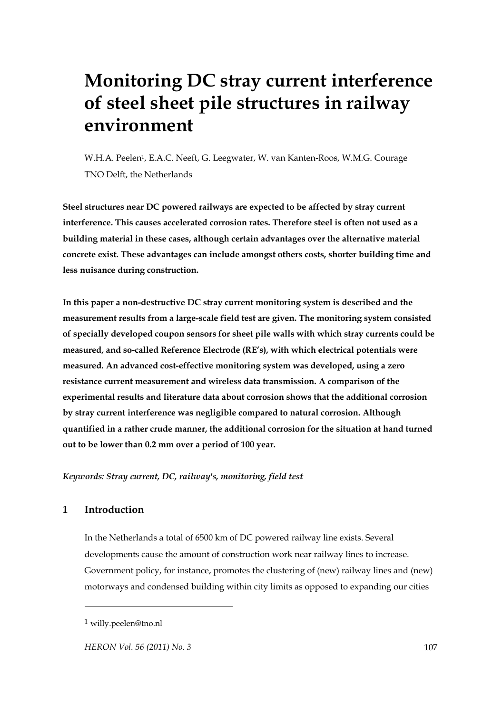# **Monitoring DC stray current interference of steel sheet pile structures in railway environment**

W.H.A. Peelen<sup>1</sup>, E.A.C. Neeft, G. Leegwater, W. van Kanten-Roos, W.M.G. Courage TNO Delft, the Netherlands

**Steel structures near DC powered railways are expected to be affected by stray current interference. This causes accelerated corrosion rates. Therefore steel is often not used as a building material in these cases, although certain advantages over the alternative material concrete exist. These advantages can include amongst others costs, shorter building time and less nuisance during construction.** 

**In this paper a non-destructive DC stray current monitoring system is described and the measurement results from a large-scale field test are given. The monitoring system consisted of specially developed coupon sensors for sheet pile walls with which stray currents could be measured, and so-called Reference Electrode (RE's), with which electrical potentials were measured. An advanced cost-effective monitoring system was developed, using a zero resistance current measurement and wireless data transmission. A comparison of the experimental results and literature data about corrosion shows that the additional corrosion by stray current interference was negligible compared to natural corrosion. Although quantified in a rather crude manner, the additional corrosion for the situation at hand turned out to be lower than 0.2 mm over a period of 100 year.** 

*Keywords: Stray current, DC, railway's, monitoring, field test* 

# **1 Introduction**

 $\overline{a}$ 

In the Netherlands a total of 6500 km of DC powered railway line exists. Several developments cause the amount of construction work near railway lines to increase. Government policy, for instance, promotes the clustering of (new) railway lines and (new) motorways and condensed building within city limits as opposed to expanding our cities

<sup>1</sup> willy.peelen@tno.nl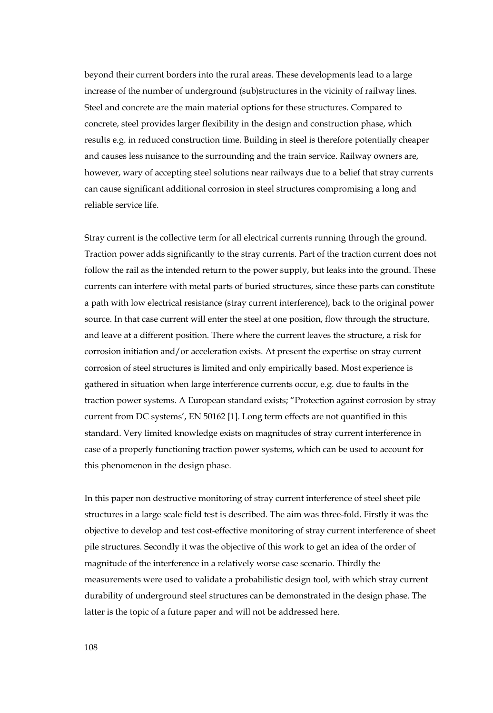beyond their current borders into the rural areas. These developments lead to a large increase of the number of underground (sub)structures in the vicinity of railway lines. Steel and concrete are the main material options for these structures. Compared to concrete, steel provides larger flexibility in the design and construction phase, which results e.g. in reduced construction time. Building in steel is therefore potentially cheaper and causes less nuisance to the surrounding and the train service. Railway owners are, however, wary of accepting steel solutions near railways due to a belief that stray currents can cause significant additional corrosion in steel structures compromising a long and reliable service life.

Stray current is the collective term for all electrical currents running through the ground. Traction power adds significantly to the stray currents. Part of the traction current does not follow the rail as the intended return to the power supply, but leaks into the ground. These currents can interfere with metal parts of buried structures, since these parts can constitute a path with low electrical resistance (stray current interference), back to the original power source. In that case current will enter the steel at one position, flow through the structure, and leave at a different position. There where the current leaves the structure, a risk for corrosion initiation and/or acceleration exists. At present the expertise on stray current corrosion of steel structures is limited and only empirically based. Most experience is gathered in situation when large interference currents occur, e.g. due to faults in the traction power systems. A European standard exists; "Protection against corrosion by stray current from DC systems', EN 50162 [1]. Long term effects are not quantified in this standard. Very limited knowledge exists on magnitudes of stray current interference in case of a properly functioning traction power systems, which can be used to account for this phenomenon in the design phase.

In this paper non destructive monitoring of stray current interference of steel sheet pile structures in a large scale field test is described. The aim was three-fold. Firstly it was the objective to develop and test cost-effective monitoring of stray current interference of sheet pile structures. Secondly it was the objective of this work to get an idea of the order of magnitude of the interference in a relatively worse case scenario. Thirdly the measurements were used to validate a probabilistic design tool, with which stray current durability of underground steel structures can be demonstrated in the design phase. The latter is the topic of a future paper and will not be addressed here.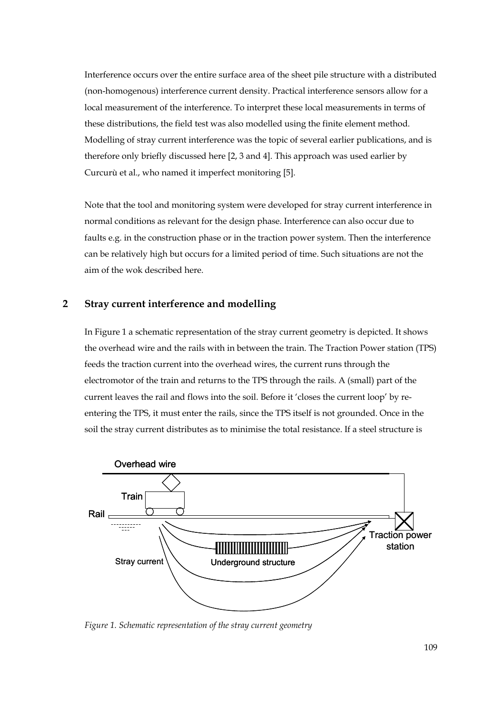Interference occurs over the entire surface area of the sheet pile structure with a distributed (non-homogenous) interference current density. Practical interference sensors allow for a local measurement of the interference. To interpret these local measurements in terms of these distributions, the field test was also modelled using the finite element method. Modelling of stray current interference was the topic of several earlier publications, and is therefore only briefly discussed here [2, 3 and 4]. This approach was used earlier by Curcurù et al., who named it imperfect monitoring [5].

Note that the tool and monitoring system were developed for stray current interference in normal conditions as relevant for the design phase. Interference can also occur due to faults e.g. in the construction phase or in the traction power system. Then the interference can be relatively high but occurs for a limited period of time. Such situations are not the aim of the wok described here.

# **2 Stray current interference and modelling**

In Figure 1 a schematic representation of the stray current geometry is depicted. It shows the overhead wire and the rails with in between the train. The Traction Power station (TPS) feeds the traction current into the overhead wires, the current runs through the electromotor of the train and returns to the TPS through the rails. A (small) part of the current leaves the rail and flows into the soil. Before it 'closes the current loop' by reentering the TPS, it must enter the rails, since the TPS itself is not grounded. Once in the soil the stray current distributes as to minimise the total resistance. If a steel structure is



*Figure 1. Schematic representation of the stray current geometry*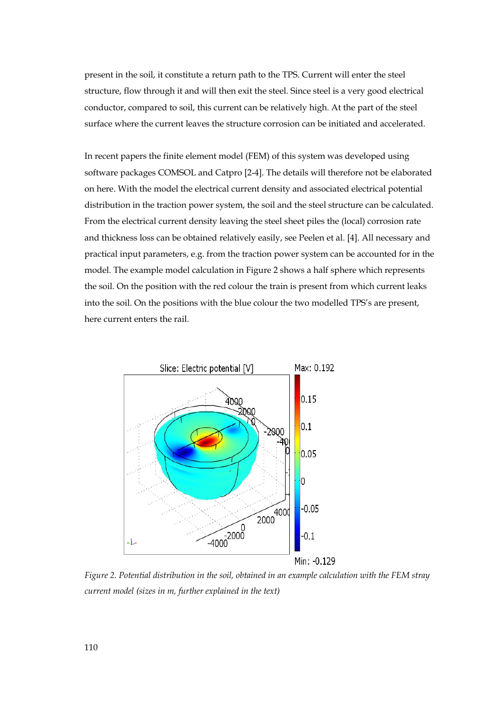present in the soil, it constitute a return path to the TPS. Current will enter the steel structure, flow through it and will then exit the steel. Since steel is a very good electrical conductor, compared to soil, this current can be relatively high. At the part of the steel surface where the current leaves the structure corrosion can be initiated and accelerated.

In recent papers the finite element model (FEM) of this system was developed using software packages COMSOL and Catpro [2-4]. The details will therefore not be elaborated on here. With the model the electrical current density and associated electrical potential distribution in the traction power system, the soil and the steel structure can be calculated. From the electrical current density leaving the steel sheet piles the (local) corrosion rate and thickness loss can be obtained relatively easily, see Peelen et al. [4]. All necessary and practical input parameters, e.g. from the traction power system can be accounted for in the model. The example model calculation in Figure 2 shows a half sphere which represents the soil. On the position with the red colour the train is present from which current leaks into the soil. On the positions with the blue colour the two modelled TPS's are present, here current enters the rail.



*Figure 2. Potential distribution in the soil, obtained in an example calculation with the FEM stray current model (sizes in m, further explained in the text)*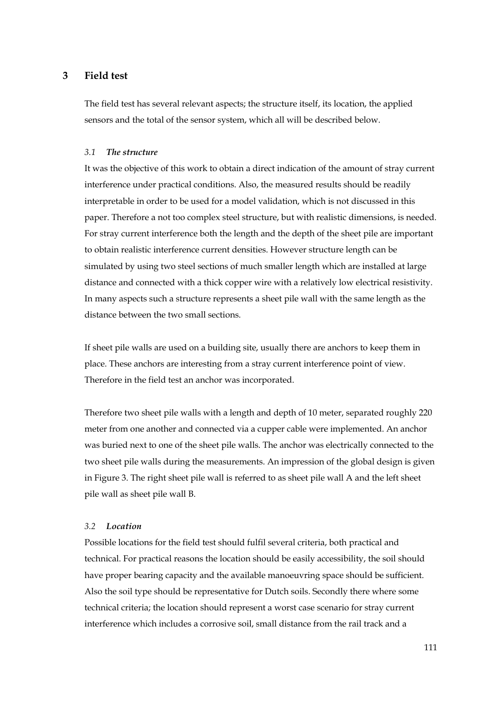# **3 Field test**

The field test has several relevant aspects; the structure itself, its location, the applied sensors and the total of the sensor system, which all will be described below.

#### *3.1 The structure*

It was the objective of this work to obtain a direct indication of the amount of stray current interference under practical conditions. Also, the measured results should be readily interpretable in order to be used for a model validation, which is not discussed in this paper. Therefore a not too complex steel structure, but with realistic dimensions, is needed. For stray current interference both the length and the depth of the sheet pile are important to obtain realistic interference current densities. However structure length can be simulated by using two steel sections of much smaller length which are installed at large distance and connected with a thick copper wire with a relatively low electrical resistivity. In many aspects such a structure represents a sheet pile wall with the same length as the distance between the two small sections.

If sheet pile walls are used on a building site, usually there are anchors to keep them in place. These anchors are interesting from a stray current interference point of view. Therefore in the field test an anchor was incorporated.

Therefore two sheet pile walls with a length and depth of 10 meter, separated roughly 220 meter from one another and connected via a cupper cable were implemented. An anchor was buried next to one of the sheet pile walls. The anchor was electrically connected to the two sheet pile walls during the measurements. An impression of the global design is given in Figure 3. The right sheet pile wall is referred to as sheet pile wall A and the left sheet pile wall as sheet pile wall B.

## *3.2 Location*

Possible locations for the field test should fulfil several criteria, both practical and technical. For practical reasons the location should be easily accessibility, the soil should have proper bearing capacity and the available manoeuvring space should be sufficient. Also the soil type should be representative for Dutch soils. Secondly there where some technical criteria; the location should represent a worst case scenario for stray current interference which includes a corrosive soil, small distance from the rail track and a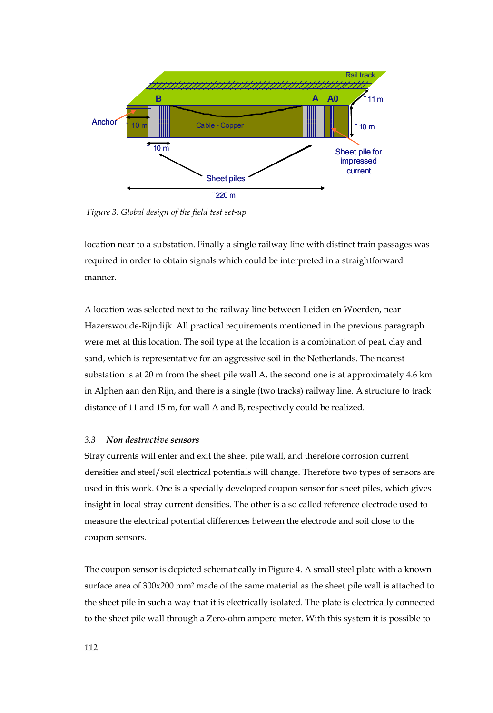

*Figure 3. Global design of the field test set-up*

location near to a substation. Finally a single railway line with distinct train passages was required in order to obtain signals which could be interpreted in a straightforward manner.

A location was selected next to the railway line between Leiden en Woerden, near Hazerswoude-Rijndijk. All practical requirements mentioned in the previous paragraph were met at this location. The soil type at the location is a combination of peat, clay and sand, which is representative for an aggressive soil in the Netherlands. The nearest substation is at 20 m from the sheet pile wall A, the second one is at approximately 4.6 km in Alphen aan den Rijn, and there is a single (two tracks) railway line. A structure to track distance of 11 and 15 m, for wall A and B, respectively could be realized.

### *3.3 Non destructive sensors*

Stray currents will enter and exit the sheet pile wall, and therefore corrosion current densities and steel/soil electrical potentials will change. Therefore two types of sensors are used in this work. One is a specially developed coupon sensor for sheet piles, which gives insight in local stray current densities. The other is a so called reference electrode used to measure the electrical potential differences between the electrode and soil close to the coupon sensors.

The coupon sensor is depicted schematically in Figure 4. A small steel plate with a known surface area of 300x200 mm² made of the same material as the sheet pile wall is attached to the sheet pile in such a way that it is electrically isolated. The plate is electrically connected to the sheet pile wall through a Zero-ohm ampere meter. With this system it is possible to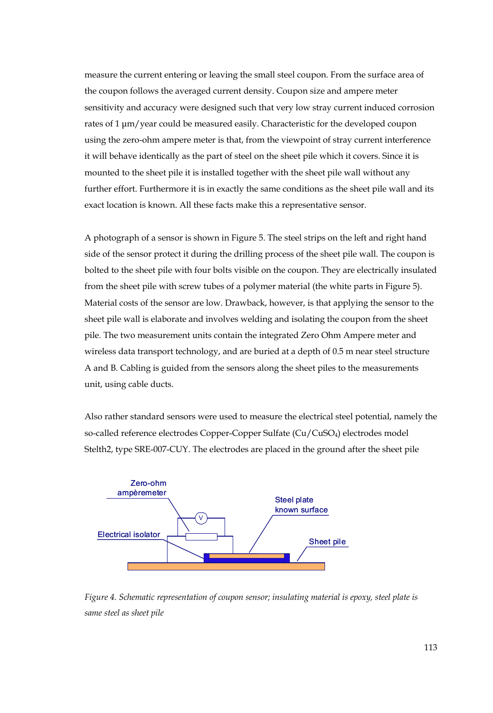measure the current entering or leaving the small steel coupon. From the surface area of the coupon follows the averaged current density. Coupon size and ampere meter sensitivity and accuracy were designed such that very low stray current induced corrosion rates of 1 μm/year could be measured easily. Characteristic for the developed coupon using the zero-ohm ampere meter is that, from the viewpoint of stray current interference it will behave identically as the part of steel on the sheet pile which it covers. Since it is mounted to the sheet pile it is installed together with the sheet pile wall without any further effort. Furthermore it is in exactly the same conditions as the sheet pile wall and its exact location is known. All these facts make this a representative sensor.

A photograph of a sensor is shown in Figure 5. The steel strips on the left and right hand side of the sensor protect it during the drilling process of the sheet pile wall. The coupon is bolted to the sheet pile with four bolts visible on the coupon. They are electrically insulated from the sheet pile with screw tubes of a polymer material (the white parts in Figure 5). Material costs of the sensor are low. Drawback, however, is that applying the sensor to the sheet pile wall is elaborate and involves welding and isolating the coupon from the sheet pile. The two measurement units contain the integrated Zero Ohm Ampere meter and wireless data transport technology, and are buried at a depth of 0.5 m near steel structure A and B. Cabling is guided from the sensors along the sheet piles to the measurements unit, using cable ducts.

Also rather standard sensors were used to measure the electrical steel potential, namely the so-called reference electrodes Copper-Copper Sulfate (Cu/CuSO4) electrodes model Stelth2, type SRE-007-CUY. The electrodes are placed in the ground after the sheet pile



*Figure 4. Schematic representation of coupon sensor; insulating material is epoxy, steel plate is same steel as sheet pile*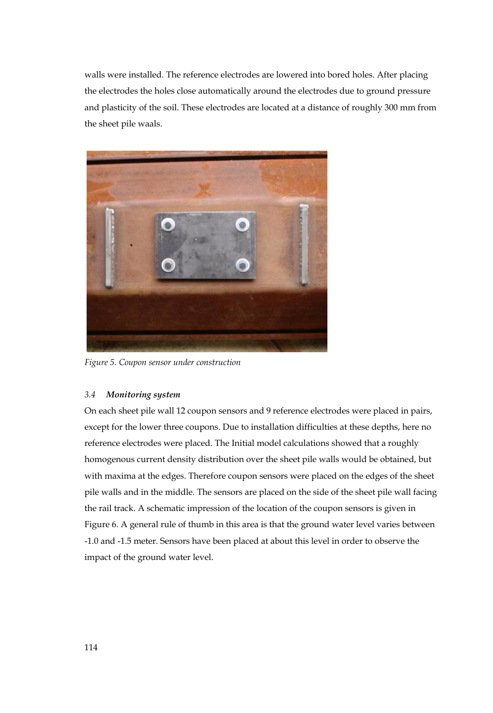walls were installed. The reference electrodes are lowered into bored holes. After placing the electrodes the holes close automatically around the electrodes due to ground pressure and plasticity of the soil. These electrodes are located at a distance of roughly 300 mm from the sheet pile waals.



*Figure 5. Coupon sensor under construction* 

### *3.4 Monitoring system*

On each sheet pile wall 12 coupon sensors and 9 reference electrodes were placed in pairs, except for the lower three coupons. Due to installation difficulties at these depths, here no reference electrodes were placed. The Initial model calculations showed that a roughly homogenous current density distribution over the sheet pile walls would be obtained, but with maxima at the edges. Therefore coupon sensors were placed on the edges of the sheet pile walls and in the middle. The sensors are placed on the side of the sheet pile wall facing the rail track. A schematic impression of the location of the coupon sensors is given in Figure 6. A general rule of thumb in this area is that the ground water level varies between -1.0 and -1.5 meter. Sensors have been placed at about this level in order to observe the impact of the ground water level.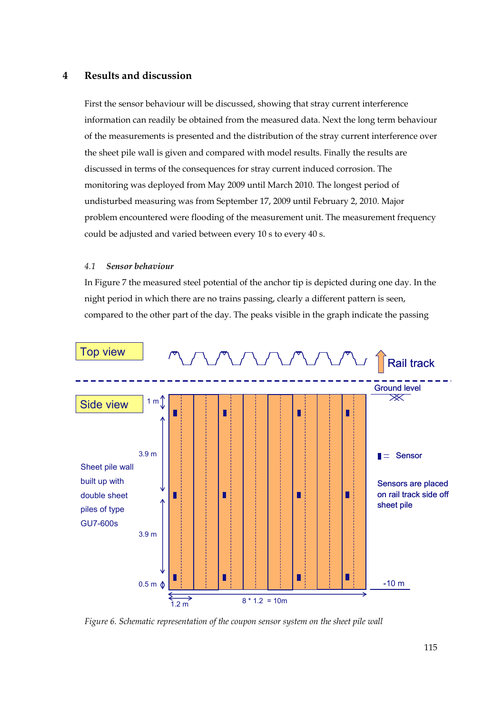# **4 Results and discussion**

First the sensor behaviour will be discussed, showing that stray current interference information can readily be obtained from the measured data. Next the long term behaviour of the measurements is presented and the distribution of the stray current interference over the sheet pile wall is given and compared with model results. Finally the results are discussed in terms of the consequences for stray current induced corrosion. The monitoring was deployed from May 2009 until March 2010. The longest period of undisturbed measuring was from September 17, 2009 until February 2, 2010. Major problem encountered were flooding of the measurement unit. The measurement frequency could be adjusted and varied between every 10 s to every 40 s.

#### *4.1 Sensor behaviour*

In Figure 7 the measured steel potential of the anchor tip is depicted during one day. In the night period in which there are no trains passing, clearly a different pattern is seen, compared to the other part of the day. The peaks visible in the graph indicate the passing



*Figure 6. Schematic representation of the coupon sensor system on the sheet pile wall*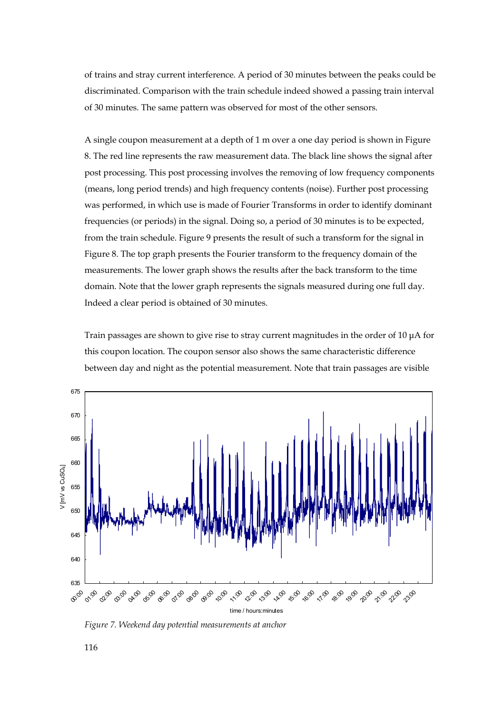of trains and stray current interference. A period of 30 minutes between the peaks could be discriminated. Comparison with the train schedule indeed showed a passing train interval of 30 minutes. The same pattern was observed for most of the other sensors.

A single coupon measurement at a depth of 1 m over a one day period is shown in Figure 8. The red line represents the raw measurement data. The black line shows the signal after post processing. This post processing involves the removing of low frequency components (means, long period trends) and high frequency contents (noise). Further post processing was performed, in which use is made of Fourier Transforms in order to identify dominant frequencies (or periods) in the signal. Doing so, a period of 30 minutes is to be expected, from the train schedule. Figure 9 presents the result of such a transform for the signal in Figure 8. The top graph presents the Fourier transform to the frequency domain of the measurements. The lower graph shows the results after the back transform to the time domain. Note that the lower graph represents the signals measured during one full day. Indeed a clear period is obtained of 30 minutes.

Train passages are shown to give rise to stray current magnitudes in the order of 10 μA for this coupon location. The coupon sensor also shows the same characteristic difference between day and night as the potential measurement. Note that train passages are visible



*Figure 7. Weekend day potential measurements at anchor*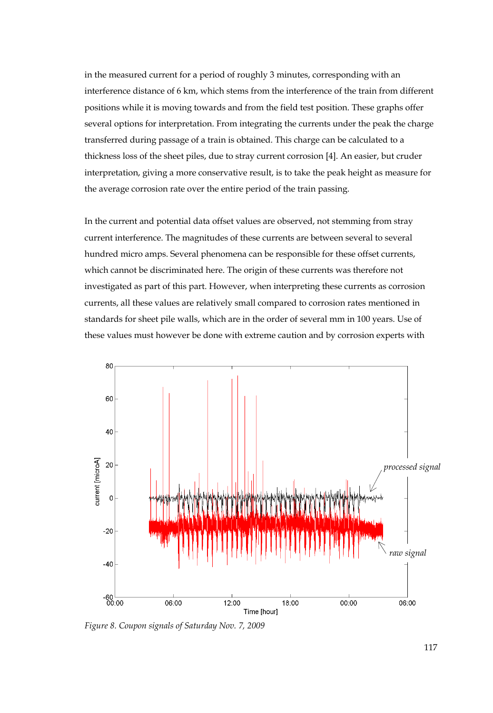in the measured current for a period of roughly 3 minutes, corresponding with an interference distance of 6 km, which stems from the interference of the train from different positions while it is moving towards and from the field test position. These graphs offer several options for interpretation. From integrating the currents under the peak the charge transferred during passage of a train is obtained. This charge can be calculated to a thickness loss of the sheet piles, due to stray current corrosion [4]. An easier, but cruder interpretation, giving a more conservative result, is to take the peak height as measure for the average corrosion rate over the entire period of the train passing.

In the current and potential data offset values are observed, not stemming from stray current interference. The magnitudes of these currents are between several to several hundred micro amps. Several phenomena can be responsible for these offset currents, which cannot be discriminated here. The origin of these currents was therefore not investigated as part of this part. However, when interpreting these currents as corrosion currents, all these values are relatively small compared to corrosion rates mentioned in standards for sheet pile walls, which are in the order of several mm in 100 years. Use of these values must however be done with extreme caution and by corrosion experts with



*Figure 8. Coupon signals of Saturday Nov. 7, 2009*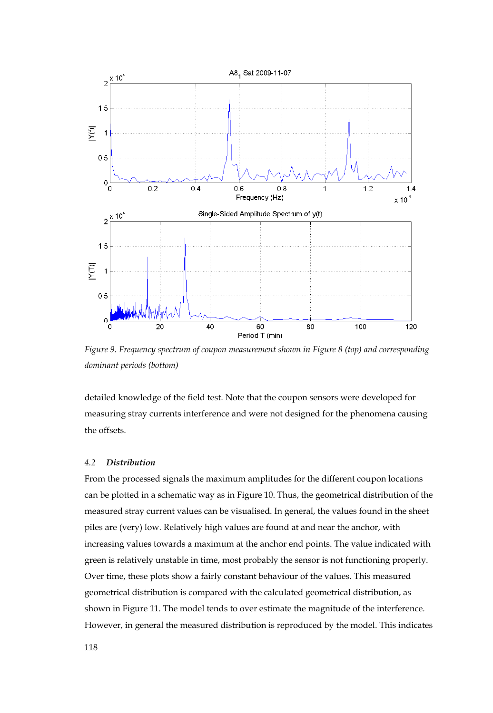

*Figure 9. Frequency spectrum of coupon measurement shown in Figure 8 (top) and corresponding dominant periods (bottom)* 

detailed knowledge of the field test. Note that the coupon sensors were developed for measuring stray currents interference and were not designed for the phenomena causing the offsets.

### *4.2 Distribution*

From the processed signals the maximum amplitudes for the different coupon locations can be plotted in a schematic way as in Figure 10. Thus, the geometrical distribution of the measured stray current values can be visualised. In general, the values found in the sheet piles are (very) low. Relatively high values are found at and near the anchor, with increasing values towards a maximum at the anchor end points. The value indicated with green is relatively unstable in time, most probably the sensor is not functioning properly. Over time, these plots show a fairly constant behaviour of the values. This measured geometrical distribution is compared with the calculated geometrical distribution, as shown in Figure 11. The model tends to over estimate the magnitude of the interference. However, in general the measured distribution is reproduced by the model. This indicates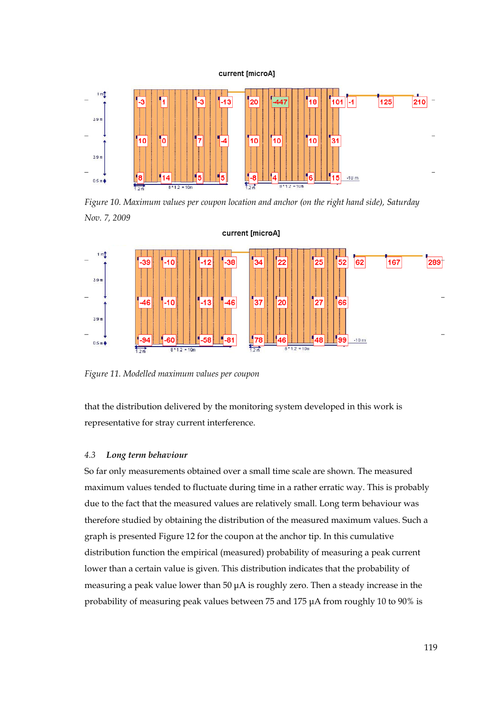#### current [microA]



*Figure 10. Maximum values per coupon location and anchor (on the right hand side), Saturday Nov. 7, 2009* 



*Figure 11. Modelled maximum values per coupon* 

that the distribution delivered by the monitoring system developed in this work is representative for stray current interference.

#### *4.3 Long term behaviour*

So far only measurements obtained over a small time scale are shown. The measured maximum values tended to fluctuate during time in a rather erratic way. This is probably due to the fact that the measured values are relatively small. Long term behaviour was therefore studied by obtaining the distribution of the measured maximum values. Such a graph is presented Figure 12 for the coupon at the anchor tip. In this cumulative distribution function the empirical (measured) probability of measuring a peak current lower than a certain value is given. This distribution indicates that the probability of measuring a peak value lower than 50 μA is roughly zero. Then a steady increase in the probability of measuring peak values between 75 and 175 μA from roughly 10 to 90% is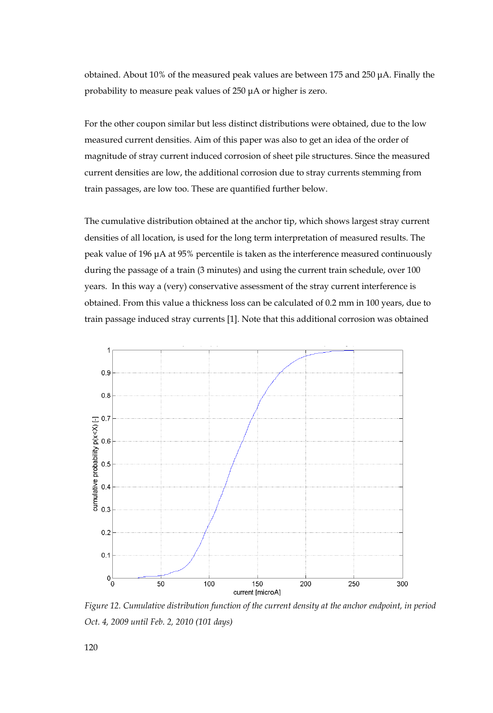obtained. About 10% of the measured peak values are between 175 and 250 μA. Finally the probability to measure peak values of 250 μA or higher is zero.

For the other coupon similar but less distinct distributions were obtained, due to the low measured current densities. Aim of this paper was also to get an idea of the order of magnitude of stray current induced corrosion of sheet pile structures. Since the measured current densities are low, the additional corrosion due to stray currents stemming from train passages, are low too. These are quantified further below.

The cumulative distribution obtained at the anchor tip, which shows largest stray current densities of all location, is used for the long term interpretation of measured results. The peak value of 196 μA at 95% percentile is taken as the interference measured continuously during the passage of a train (3 minutes) and using the current train schedule, over 100 years. In this way a (very) conservative assessment of the stray current interference is obtained. From this value a thickness loss can be calculated of 0.2 mm in 100 years, due to train passage induced stray currents [1]. Note that this additional corrosion was obtained



*Figure 12. Cumulative distribution function of the current density at the anchor endpoint, in period Oct. 4, 2009 until Feb. 2, 2010 (101 days)*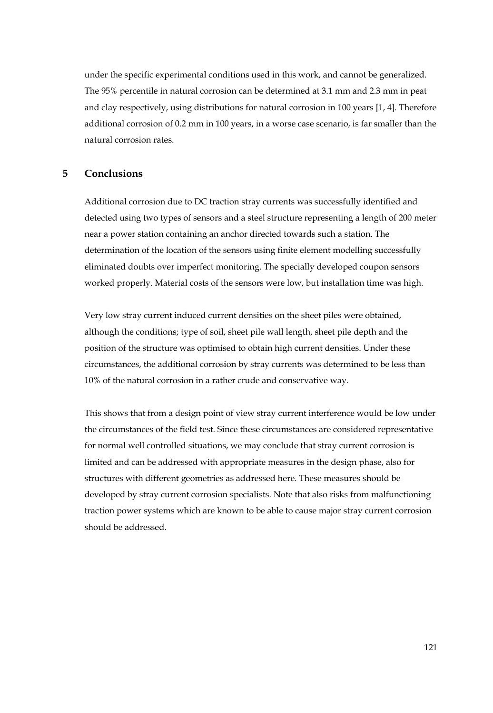under the specific experimental conditions used in this work, and cannot be generalized. The 95% percentile in natural corrosion can be determined at 3.1 mm and 2.3 mm in peat and clay respectively, using distributions for natural corrosion in 100 years [1, 4]. Therefore additional corrosion of 0.2 mm in 100 years, in a worse case scenario, is far smaller than the natural corrosion rates.

# **5 Conclusions**

Additional corrosion due to DC traction stray currents was successfully identified and detected using two types of sensors and a steel structure representing a length of 200 meter near a power station containing an anchor directed towards such a station. The determination of the location of the sensors using finite element modelling successfully eliminated doubts over imperfect monitoring. The specially developed coupon sensors worked properly. Material costs of the sensors were low, but installation time was high.

Very low stray current induced current densities on the sheet piles were obtained, although the conditions; type of soil, sheet pile wall length, sheet pile depth and the position of the structure was optimised to obtain high current densities. Under these circumstances, the additional corrosion by stray currents was determined to be less than 10% of the natural corrosion in a rather crude and conservative way.

This shows that from a design point of view stray current interference would be low under the circumstances of the field test. Since these circumstances are considered representative for normal well controlled situations, we may conclude that stray current corrosion is limited and can be addressed with appropriate measures in the design phase, also for structures with different geometries as addressed here. These measures should be developed by stray current corrosion specialists. Note that also risks from malfunctioning traction power systems which are known to be able to cause major stray current corrosion should be addressed.